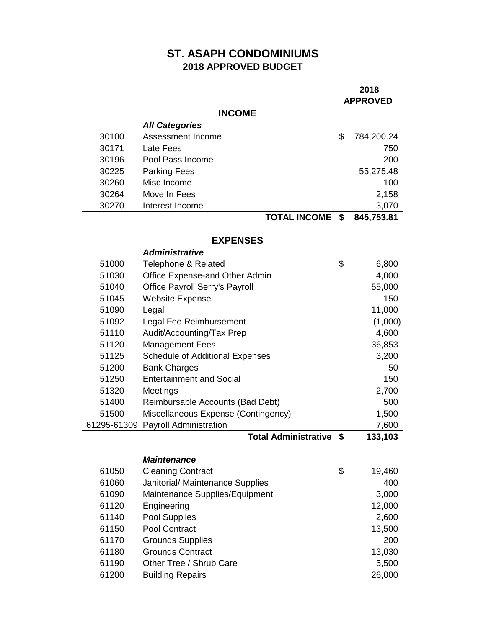# **ST. ASAPH CONDOMINIUMS 2018 APPROVED BUDGET**

### **APPROVED**

## **INCOME**

|       | <b>All Categories</b> |                         |              |
|-------|-----------------------|-------------------------|--------------|
| 30100 | Assessment Income     |                         | 784,200.24   |
| 30171 | Late Fees             |                         | 750          |
| 30196 | Pool Pass Income      |                         | 200          |
| 30225 | <b>Parking Fees</b>   |                         | 55,275.48    |
| 30260 | Misc Income           |                         | 100          |
| 30264 | Move In Fees          |                         | 2,158        |
| 30270 | Interest Income       |                         | 3,070        |
|       |                       | INIOONIF<br>TAT AI<br>́ | 0.45 750 0.4 |

**TOTAL INCOME \$ 845,753.81**

#### **EXPENSES**

|       | <b>Administrative</b>                  |      |         |
|-------|----------------------------------------|------|---------|
| 51000 | Telephone & Related                    | \$   | 6,800   |
| 51030 | Office Expense-and Other Admin         |      | 4,000   |
| 51040 | <b>Office Payroll Serry's Payroll</b>  |      | 55,000  |
| 51045 | <b>Website Expense</b>                 |      | 150     |
| 51090 | Legal                                  |      | 11,000  |
| 51092 | Legal Fee Reimbursement                |      | (1,000) |
| 51110 | Audit/Accounting/Tax Prep              |      | 4,600   |
| 51120 | <b>Management Fees</b>                 |      | 36,853  |
| 51125 | <b>Schedule of Additional Expenses</b> |      | 3,200   |
| 51200 | <b>Bank Charges</b>                    |      | 50      |
| 51250 | <b>Entertainment and Social</b>        |      | 150     |
| 51320 | Meetings                               |      | 2,700   |
| 51400 | Reimbursable Accounts (Bad Debt)       |      | 500     |
| 51500 | Miscellaneous Expense (Contingency)    |      | 1,500   |
|       | 61295-61309 Payroll Administration     |      | 7,600   |
|       | <b>Total Administrative</b>            | - \$ | 133,103 |
|       |                                        |      |         |
|       | <i><b>Maintenance</b></i>              |      |         |

| 61050 | <b>Cleaning Contract</b>         | \$<br>19,460 |
|-------|----------------------------------|--------------|
| 61060 | Janitorial/ Maintenance Supplies | 400          |
| 61090 | Maintenance Supplies/Equipment   | 3,000        |
| 61120 | Engineering                      | 12,000       |
| 61140 | Pool Supplies                    | 2,600        |
| 61150 | Pool Contract                    | 13,500       |
| 61170 | <b>Grounds Supplies</b>          | 200          |
| 61180 | <b>Grounds Contract</b>          | 13,030       |
| 61190 | Other Tree / Shrub Care          | 5,500        |
| 61200 | <b>Building Repairs</b>          | 26,000       |